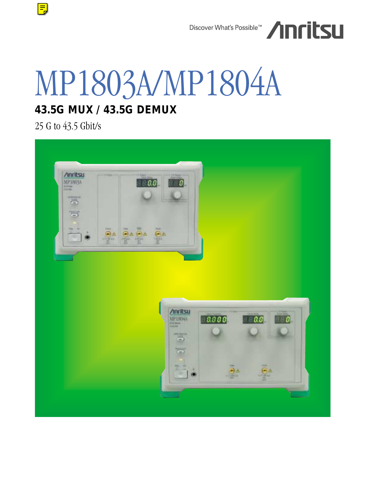

# MP1803A/MP1804A

### **43.5G MUX / 43.5G DEMUX**

25 G to 43.5 Gbit/s

 $\boxed{\equiv}$ 

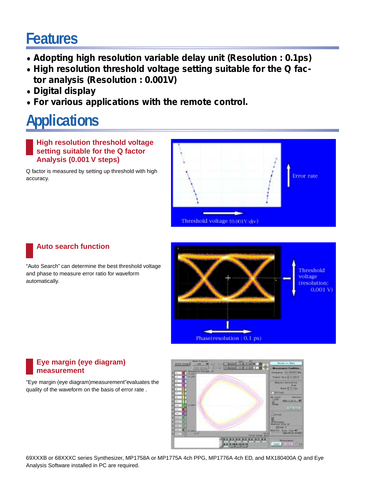### **Features**

- **• Adopting high resolution variable delay unit (Resolution : 0.1ps)**
- **• High resolution threshold voltage setting suitable for the Q factor analysis (Resolution : 0.001V)**
- **• Digital display**
- **• For various applications with the remote control.**

## **Applications**

**High resolution threshold voltage setting suitable for the Q factor Analysis (0.001 V steps)**

Q factor is measured by setting up threshold with high accuracy.



### **Auto search function**

"Auto Search" can determine the best threshold voltage and phase to measure error ratio for waveform automatically.



### **Eye margin (eye diagram) measurement**

"Eye margin (eye diagram)measurement"evaluates the quality of the waveform on the basis of error rate .



69XXXB or 68XXXC series Synthesizer, MP1758A or MP1775A 4ch PPG, MP1776A 4ch ED, and MX180400A Q and Eye Analysis Software installed in PC are required.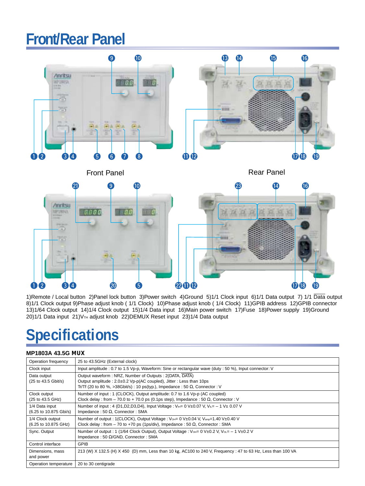### **Front/Rear Panel**



1)Remote / Local button 2)Panel lock button 3)Power switch 4)Ground 5)1/1 Clock input 6)1/1 Data output 7) 1/1 Data output 8)1/1 Clock output 9)Phase adjust knob ( 1/1 Clock) 10)Phase adjust knob ( 1/4 Clock) 11)GPIB address 12)GPIB connector 13)1/64 Clock output 14)1/4 Clock output 15)1/4 Data input 16)Main power switch 17)Fuse 18)Power supply 19)Ground 20)1/1 Data input 21) V<sub>TH</sub> adjust knob 22) DEMUX Reset input 23)1/4 Data output

## **Specifications**

#### **MP1803A 43.5G MUX**

| Operation frequency                      | 25 to 43.5GHz (External clock)                                                                                                                                                                                             |  |  |  |  |
|------------------------------------------|----------------------------------------------------------------------------------------------------------------------------------------------------------------------------------------------------------------------------|--|--|--|--|
| Clock input                              | Input amplitude : 0.7 to 1.5 Vp-p, Waveform: Sine or rectangular wave (duty : 50 %), Input connector: V                                                                                                                    |  |  |  |  |
| Data output<br>(25 to 43.5 Gbit/s)       | Output waveform: NRZ, Number of Outputs: 2(DATA, DATA)<br>Output amplitude : $2.0\pm0.2$ Vp-p(AC coupled), Jitter : Less than 10ps<br>Tr/Tf (20 to 80 %, >38Gbit/s) : 10 ps(typ.), Impedance : 50 $\Omega$ , Connector : V |  |  |  |  |
| Clock output<br>(25 to 43.5 GHz)         | Number of input: 1 (CLOCK), Output amplitude: 0.7 to 1.6 Vp-p (AC coupled)<br>Clock delay : from – 70.0 to + 70.0 ps (0.1ps step), Impedance : 50 $\Omega$ , Connector : V                                                 |  |  |  |  |
| 1/4 Data input<br>(6.25 to 10.875 Gbi/s) | Number of input : 4 (D1,D2,D3,D4), Input Voltage : $V_{\text{H}} = 0$ V $\pm$ 0.07 V, V <sub>II</sub> = - 1 V $\pm$ 0.07 V<br>Impedance: 50 $\Omega$ , Connector: SMA                                                      |  |  |  |  |
| 1/4 Clock output<br>(6.25 to 10.875 GHz) | Number of output: 1(CLOCK), Output Voltage: $V_{\text{OHE}}$ 0 V $\pm$ 0.04 V, V <sub>amp</sub> =1.40 V $\pm$ 0.40 V<br>Clock delay : from – 70 to +70 ps (1ps/div), Impedance : 50 $\Omega$ , Connector : SMA             |  |  |  |  |
| Sync. Output                             | Number of output : 1 (1/64 Clock Output), Output Voltage : $V_{\text{OH}} = 0$ V $\pm 0.2$ V, $V_{\text{OL}} = -1$ V $\pm 0.2$ V<br>Impedance: 50 $\Omega$ /GND, Connector: SMA                                            |  |  |  |  |
| Control interface                        | <b>GPIB</b>                                                                                                                                                                                                                |  |  |  |  |
| Dimensions, mass<br>and power            | 213 (W) X 132.5 (H) X 450 (D) mm, Less than 10 kg, AC100 to 240 V, Frequency : 47 to 63 Hz, Less than 100 VA                                                                                                               |  |  |  |  |
| Operation temperature                    | 20 to 30 centigrade                                                                                                                                                                                                        |  |  |  |  |